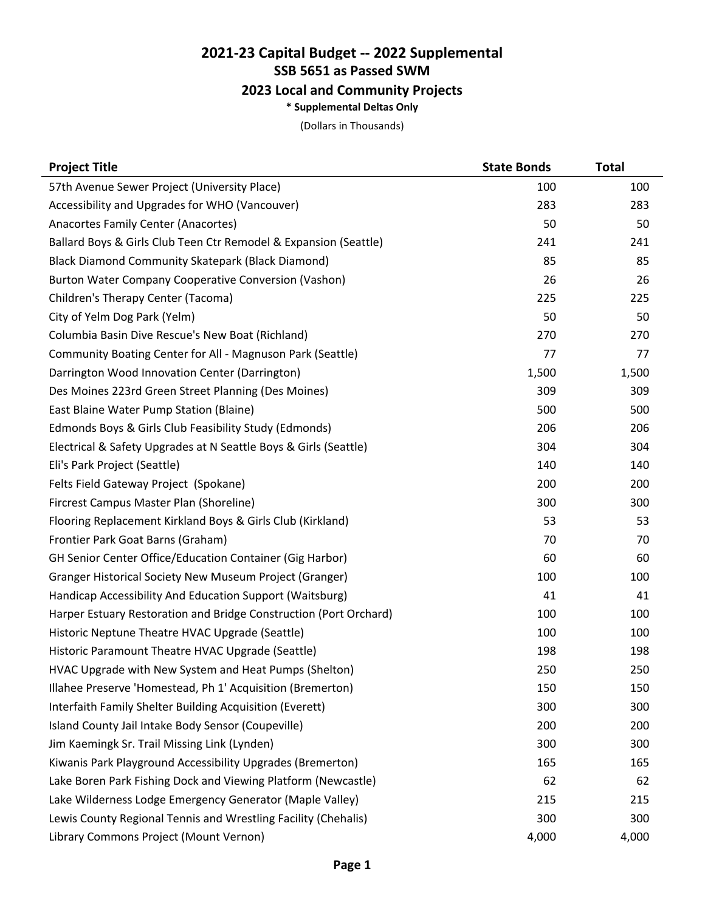## **2021-23 Capital Budget -- 2022 Supplemental SSB 5651 as Passed SWM 2023 Local and Community Projects**

**\* Supplemental Deltas Only**

(Dollars in Thousands)

| <b>Project Title</b>                                              | <b>State Bonds</b> | <b>Total</b> |
|-------------------------------------------------------------------|--------------------|--------------|
| 57th Avenue Sewer Project (University Place)                      | 100                | 100          |
| Accessibility and Upgrades for WHO (Vancouver)                    | 283                | 283          |
| Anacortes Family Center (Anacortes)                               | 50                 | 50           |
| Ballard Boys & Girls Club Teen Ctr Remodel & Expansion (Seattle)  | 241                | 241          |
| Black Diamond Community Skatepark (Black Diamond)                 | 85                 | 85           |
| Burton Water Company Cooperative Conversion (Vashon)              | 26                 | 26           |
| Children's Therapy Center (Tacoma)                                | 225                | 225          |
| City of Yelm Dog Park (Yelm)                                      | 50                 | 50           |
| Columbia Basin Dive Rescue's New Boat (Richland)                  | 270                | 270          |
| Community Boating Center for All - Magnuson Park (Seattle)        | 77                 | 77           |
| Darrington Wood Innovation Center (Darrington)                    | 1,500              | 1,500        |
| Des Moines 223rd Green Street Planning (Des Moines)               | 309                | 309          |
| East Blaine Water Pump Station (Blaine)                           | 500                | 500          |
| Edmonds Boys & Girls Club Feasibility Study (Edmonds)             | 206                | 206          |
| Electrical & Safety Upgrades at N Seattle Boys & Girls (Seattle)  | 304                | 304          |
| Eli's Park Project (Seattle)                                      | 140                | 140          |
| Felts Field Gateway Project (Spokane)                             | 200                | 200          |
| Fircrest Campus Master Plan (Shoreline)                           | 300                | 300          |
| Flooring Replacement Kirkland Boys & Girls Club (Kirkland)        | 53                 | 53           |
| Frontier Park Goat Barns (Graham)                                 | 70                 | 70           |
| <b>GH Senior Center Office/Education Container (Gig Harbor)</b>   | 60                 | 60           |
| Granger Historical Society New Museum Project (Granger)           | 100                | 100          |
| Handicap Accessibility And Education Support (Waitsburg)          | 41                 | 41           |
| Harper Estuary Restoration and Bridge Construction (Port Orchard) | 100                | 100          |
| Historic Neptune Theatre HVAC Upgrade (Seattle)                   | 100                | 100          |
| Historic Paramount Theatre HVAC Upgrade (Seattle)                 | 198                | 198          |
| HVAC Upgrade with New System and Heat Pumps (Shelton)             | 250                | 250          |
| Illahee Preserve 'Homestead, Ph 1' Acquisition (Bremerton)        | 150                | 150          |
| Interfaith Family Shelter Building Acquisition (Everett)          | 300                | 300          |
| Island County Jail Intake Body Sensor (Coupeville)                | 200                | 200          |
| Jim Kaemingk Sr. Trail Missing Link (Lynden)                      | 300                | 300          |
| Kiwanis Park Playground Accessibility Upgrades (Bremerton)        | 165                | 165          |
| Lake Boren Park Fishing Dock and Viewing Platform (Newcastle)     | 62                 | 62           |
| Lake Wilderness Lodge Emergency Generator (Maple Valley)          | 215                | 215          |
| Lewis County Regional Tennis and Wrestling Facility (Chehalis)    | 300                | 300          |
| Library Commons Project (Mount Vernon)                            | 4,000              | 4,000        |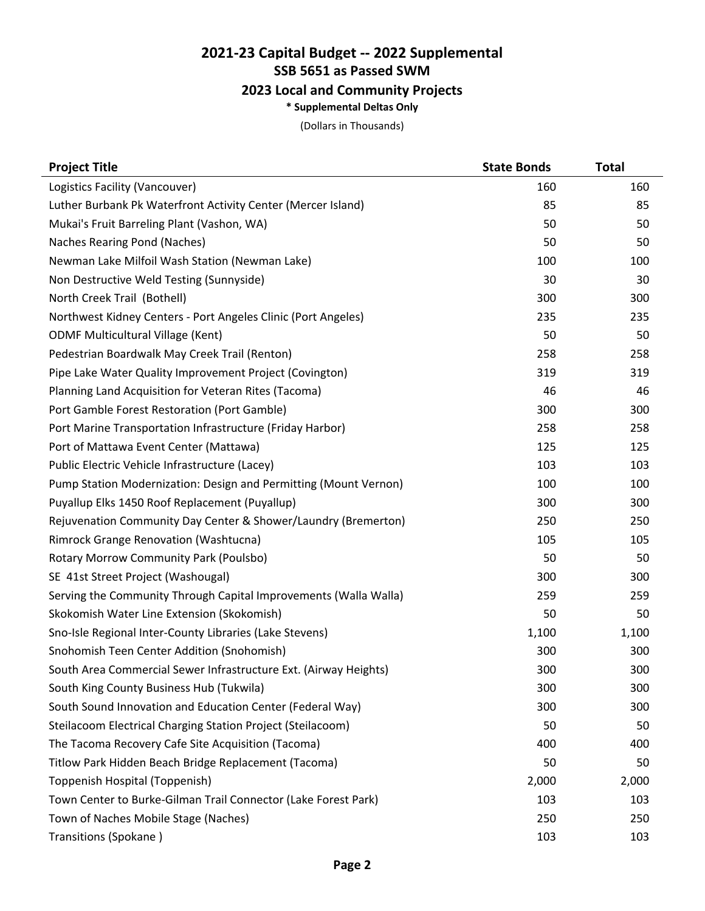## **2021-23 Capital Budget -- 2022 Supplemental SSB 5651 as Passed SWM 2023 Local and Community Projects**

## **\* Supplemental Deltas Only**

(Dollars in Thousands)

| <b>Project Title</b>                                             | <b>State Bonds</b> | <b>Total</b> |
|------------------------------------------------------------------|--------------------|--------------|
| Logistics Facility (Vancouver)                                   | 160                | 160          |
| Luther Burbank Pk Waterfront Activity Center (Mercer Island)     | 85                 | 85           |
| Mukai's Fruit Barreling Plant (Vashon, WA)                       | 50                 | 50           |
| Naches Rearing Pond (Naches)                                     | 50                 | 50           |
| Newman Lake Milfoil Wash Station (Newman Lake)                   | 100                | 100          |
| Non Destructive Weld Testing (Sunnyside)                         | 30                 | 30           |
| North Creek Trail (Bothell)                                      | 300                | 300          |
| Northwest Kidney Centers - Port Angeles Clinic (Port Angeles)    | 235                | 235          |
| <b>ODMF Multicultural Village (Kent)</b>                         | 50                 | 50           |
| Pedestrian Boardwalk May Creek Trail (Renton)                    | 258                | 258          |
| Pipe Lake Water Quality Improvement Project (Covington)          | 319                | 319          |
| Planning Land Acquisition for Veteran Rites (Tacoma)             | 46                 | 46           |
| Port Gamble Forest Restoration (Port Gamble)                     | 300                | 300          |
| Port Marine Transportation Infrastructure (Friday Harbor)        | 258                | 258          |
| Port of Mattawa Event Center (Mattawa)                           | 125                | 125          |
| Public Electric Vehicle Infrastructure (Lacey)                   | 103                | 103          |
| Pump Station Modernization: Design and Permitting (Mount Vernon) | 100                | 100          |
| Puyallup Elks 1450 Roof Replacement (Puyallup)                   | 300                | 300          |
| Rejuvenation Community Day Center & Shower/Laundry (Bremerton)   | 250                | 250          |
| Rimrock Grange Renovation (Washtucna)                            | 105                | 105          |
| Rotary Morrow Community Park (Poulsbo)                           | 50                 | 50           |
| SE 41st Street Project (Washougal)                               | 300                | 300          |
| Serving the Community Through Capital Improvements (Walla Walla) | 259                | 259          |
| Skokomish Water Line Extension (Skokomish)                       | 50                 | 50           |
| Sno-Isle Regional Inter-County Libraries (Lake Stevens)          | 1,100              | 1,100        |
| Snohomish Teen Center Addition (Snohomish)                       | 300                | 300          |
| South Area Commercial Sewer Infrastructure Ext. (Airway Heights) | 300                | 300          |
| South King County Business Hub (Tukwila)                         | 300                | 300          |
| South Sound Innovation and Education Center (Federal Way)        | 300                | 300          |
| Steilacoom Electrical Charging Station Project (Steilacoom)      | 50                 | 50           |
| The Tacoma Recovery Cafe Site Acquisition (Tacoma)               | 400                | 400          |
| Titlow Park Hidden Beach Bridge Replacement (Tacoma)             | 50                 | 50           |
| Toppenish Hospital (Toppenish)                                   | 2,000              | 2,000        |
| Town Center to Burke-Gilman Trail Connector (Lake Forest Park)   | 103                | 103          |
| Town of Naches Mobile Stage (Naches)                             | 250                | 250          |
| Transitions (Spokane)                                            | 103                | 103          |